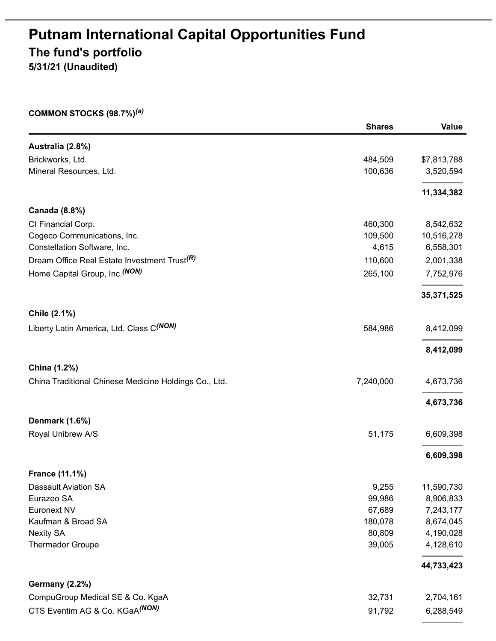# **Putnam International Capital Opportunities Fund The fund's portfolio**

**5/31/21 (Unaudited)**

#### **COMMON STOCKS (98.7%)** *(a)*

|                                                          | <b>Shares</b> | <b>Value</b> |
|----------------------------------------------------------|---------------|--------------|
| Australia (2.8%)                                         |               |              |
| Brickworks, Ltd.                                         | 484,509       | \$7,813,788  |
| Mineral Resources, Ltd.                                  | 100,636       | 3,520,594    |
|                                                          |               | 11,334,382   |
| <b>Canada (8.8%)</b>                                     |               |              |
| CI Financial Corp.                                       | 460,300       | 8,542,632    |
| Cogeco Communications, Inc.                              | 109,500       | 10,516,278   |
| Constellation Software, Inc.                             | 4,615         | 6,558,301    |
| Dream Office Real Estate Investment Trust <sup>(R)</sup> | 110,600       | 2,001,338    |
| Home Capital Group, Inc. (NON)                           | 265,100       | 7,752,976    |
|                                                          |               | 35,371,525   |
| Chile (2.1%)                                             |               |              |
| Liberty Latin America, Ltd. Class C <sup>(NON)</sup>     | 584,986       | 8,412,099    |
|                                                          |               | 8,412,099    |
| China (1.2%)                                             |               |              |
| China Traditional Chinese Medicine Holdings Co., Ltd.    | 7,240,000     | 4,673,736    |
|                                                          |               | 4,673,736    |
| <b>Denmark (1.6%)</b>                                    |               |              |
| Royal Unibrew A/S                                        | 51,175        | 6,609,398    |
|                                                          |               | 6,609,398    |
| <b>France (11.1%)</b>                                    |               |              |
| Dassault Aviation SA                                     | 9,255         | 11,590,730   |
| Eurazeo SA                                               | 99,986        | 8,906,833    |
| Euronext NV                                              | 67,689        | 7,243,177    |
| Kaufman & Broad SA                                       | 180,078       | 8,674,045    |
| <b>Nexity SA</b>                                         | 80,809        | 4,190,028    |
| <b>Thermador Groupe</b>                                  | 39,005        | 4,128,610    |
|                                                          |               | 44,733,423   |
| <b>Germany (2.2%)</b>                                    |               |              |
| CompuGroup Medical SE & Co. KgaA                         | 32,731        | 2,704,161    |
| CTS Eventim AG & Co. KGaA(NON)                           | 91,792        | 6,288,549    |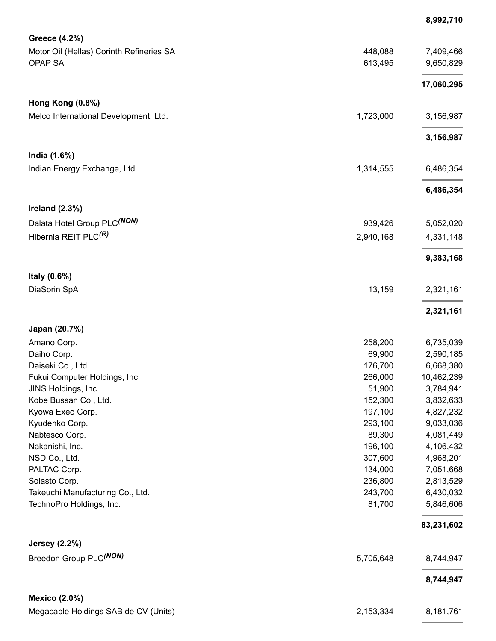|                                          |           | 8,992,710  |
|------------------------------------------|-----------|------------|
| Greece (4.2%)                            |           |            |
| Motor Oil (Hellas) Corinth Refineries SA | 448,088   | 7,409,466  |
| <b>OPAP SA</b>                           | 613,495   | 9,650,829  |
|                                          |           | 17,060,295 |
| Hong Kong (0.8%)                         |           |            |
| Melco International Development, Ltd.    | 1,723,000 | 3,156,987  |
|                                          |           | 3,156,987  |
| India (1.6%)                             |           |            |
| Indian Energy Exchange, Ltd.             | 1,314,555 | 6,486,354  |
|                                          |           | 6,486,354  |
| Ireland $(2.3%)$                         |           |            |
| Dalata Hotel Group PLC(NON)              | 939,426   | 5,052,020  |
| Hibernia REIT PLC <sup>(R)</sup>         | 2,940,168 | 4,331,148  |
|                                          |           | 9,383,168  |
| Italy (0.6%)                             |           |            |
| DiaSorin SpA                             | 13,159    | 2,321,161  |
|                                          |           | 2,321,161  |
| Japan (20.7%)                            |           |            |
| Amano Corp.                              | 258,200   | 6,735,039  |
| Daiho Corp.                              | 69,900    | 2,590,185  |
| Daiseki Co., Ltd.                        | 176,700   | 6,668,380  |
| Fukui Computer Holdings, Inc.            | 266,000   | 10,462,239 |
| JINS Holdings, Inc.                      | 51,900    | 3,784,941  |
| Kobe Bussan Co., Ltd.                    | 152,300   | 3,832,633  |
| Kyowa Exeo Corp.                         | 197,100   | 4,827,232  |
| Kyudenko Corp.                           | 293,100   | 9,033,036  |
| Nabtesco Corp.                           | 89,300    | 4,081,449  |
| Nakanishi, Inc.                          | 196,100   | 4,106,432  |
| NSD Co., Ltd.                            | 307,600   | 4,968,201  |
| PALTAC Corp.                             | 134,000   | 7,051,668  |
| Solasto Corp.                            | 236,800   | 2,813,529  |
| Takeuchi Manufacturing Co., Ltd.         | 243,700   | 6,430,032  |
| TechnoPro Holdings, Inc.                 | 81,700    | 5,846,606  |
|                                          |           | 83,231,602 |
| <b>Jersey (2.2%)</b>                     |           |            |
| Breedon Group PLC(NON)                   | 5,705,648 | 8,744,947  |
|                                          |           | 8,744,947  |
| <b>Mexico (2.0%)</b>                     |           |            |
| Megacable Holdings SAB de CV (Units)     | 2,153,334 | 8,181,761  |

L,

 $\overline{a}$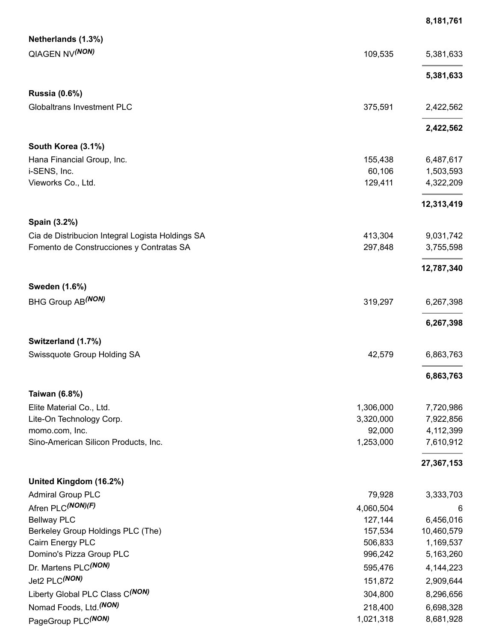|                                                                                              |                      | 8,181,761      |
|----------------------------------------------------------------------------------------------|----------------------|----------------|
| Netherlands (1.3%)                                                                           |                      |                |
| <b>QIAGEN NV(NON)</b>                                                                        | 109,535              | 5,381,633      |
|                                                                                              |                      |                |
|                                                                                              |                      | 5,381,633      |
| <b>Russia (0.6%)</b>                                                                         |                      |                |
| <b>Globaltrans Investment PLC</b>                                                            | 375,591              | 2,422,562      |
|                                                                                              |                      |                |
|                                                                                              |                      | 2,422,562      |
| South Korea (3.1%)                                                                           |                      |                |
| Hana Financial Group, Inc.                                                                   | 155,438              | 6,487,617      |
| i-SENS, Inc.                                                                                 | 60,106               | 1,503,593      |
| Vieworks Co., Ltd.                                                                           | 129,411              | 4,322,209      |
|                                                                                              |                      | 12,313,419     |
|                                                                                              |                      |                |
| Spain (3.2%)                                                                                 | 413,304              | 9,031,742      |
| Cia de Distribucion Integral Logista Holdings SA<br>Fomento de Construcciones y Contratas SA | 297,848              | 3,755,598      |
|                                                                                              |                      |                |
|                                                                                              |                      | 12,787,340     |
| Sweden (1.6%)                                                                                |                      |                |
| BHG Group AB <sup>(NON)</sup>                                                                | 319,297              | 6,267,398      |
|                                                                                              |                      |                |
|                                                                                              |                      | 6,267,398      |
| Switzerland (1.7%)                                                                           |                      |                |
| Swissquote Group Holding SA                                                                  | 42,579               | 6,863,763      |
|                                                                                              |                      |                |
|                                                                                              |                      | 6,863,763      |
| Taiwan (6.8%)                                                                                |                      |                |
| Elite Material Co., Ltd.                                                                     | 1,306,000            | 7,720,986      |
| Lite-On Technology Corp.                                                                     | 3,320,000            | 7,922,856      |
| momo.com, Inc.                                                                               | 92,000               | 4,112,399      |
| Sino-American Silicon Products, Inc.                                                         | 1,253,000            | 7,610,912      |
|                                                                                              |                      | 27,367,153     |
|                                                                                              |                      |                |
| United Kingdom (16.2%)                                                                       |                      |                |
| <b>Admiral Group PLC</b><br>Afren PLC(NON)(F)                                                | 79,928               | 3,333,703      |
| <b>Bellway PLC</b>                                                                           | 4,060,504<br>127,144 | 6<br>6,456,016 |
| Berkeley Group Holdings PLC (The)                                                            | 157,534              | 10,460,579     |
| Cairn Energy PLC                                                                             | 506,833              | 1,169,537      |
| Domino's Pizza Group PLC                                                                     | 996,242              | 5,163,260      |
| Dr. Martens PLC(NON)                                                                         | 595,476              | 4,144,223      |
| Jet2 PLC(NON)                                                                                | 151,872              | 2,909,644      |
| Liberty Global PLC Class C(NON)                                                              | 304,800              | 8,296,656      |
| Nomad Foods, Ltd. (NON)                                                                      | 218,400              | 6,698,328      |
| PageGroup PLC(NON)                                                                           | 1,021,318            | 8,681,928      |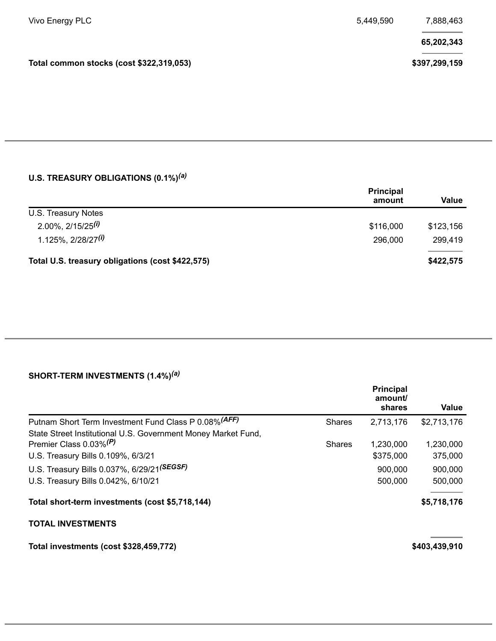| Vivo Energy PLC                          | 5,449,590 | 7,888,463     |
|------------------------------------------|-----------|---------------|
|                                          |           | 65,202,343    |
| Total common stocks (cost \$322,319,053) |           | \$397,299,159 |
|                                          |           |               |

### **U.S. TREASURY OBLIGATIONS (0.1%)** *(a)*

|                                                  | <b>Principal</b><br>amount | Value     |
|--------------------------------------------------|----------------------------|-----------|
| U.S. Treasury Notes                              |                            |           |
| $2.00\%$ , $2/15/25^{(i)}$                       | \$116,000                  | \$123,156 |
| $1.125\%$ , 2/28/27 <sup>(i)</sup>               | 296,000                    | 299,419   |
| Total U.S. treasury obligations (cost \$422,575) |                            | \$422,575 |

### **SHORT-TERM INVESTMENTS (1.4%)** *(a)*

|                                                               |               | <b>Principal</b><br>amount/<br>shares | Value         |
|---------------------------------------------------------------|---------------|---------------------------------------|---------------|
| Putnam Short Term Investment Fund Class P 0.08% (AFF)         | <b>Shares</b> | 2,713,176                             | \$2,713,176   |
| State Street Institutional U.S. Government Money Market Fund, |               |                                       |               |
| Premier Class 0.03% <sup>(P)</sup>                            | <b>Shares</b> | 1,230,000                             | 1,230,000     |
| U.S. Treasury Bills 0.109%, 6/3/21                            |               | \$375,000                             | 375,000       |
| U.S. Treasury Bills 0.037%, 6/29/21(SEGSF)                    |               | 900,000                               | 900,000       |
| U.S. Treasury Bills 0.042%, 6/10/21                           |               | 500,000                               | 500,000       |
| Total short-term investments (cost \$5,718,144)               |               |                                       | \$5,718,176   |
| <b>TOTAL INVESTMENTS</b>                                      |               |                                       |               |
| Total investments (cost \$328,459,772)                        |               |                                       | \$403,439,910 |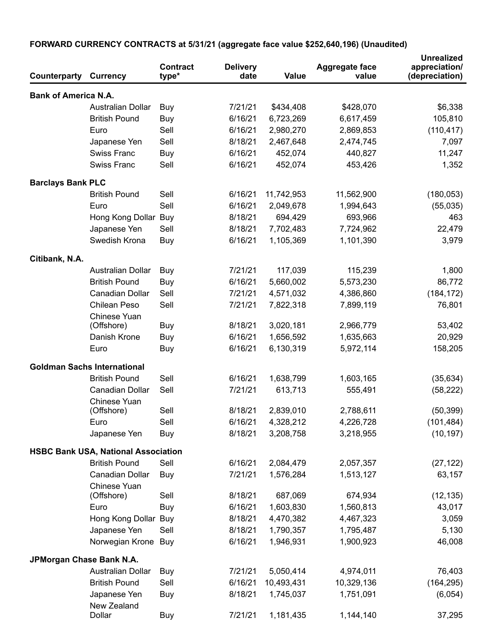| Counterparty                | <b>Currency</b>                            | <b>Contract</b><br>type* | <b>Delivery</b><br>date | Value      | <b>Aggregate face</b><br>value | <b>Unrealized</b><br>appreciation/<br>(depreciation) |
|-----------------------------|--------------------------------------------|--------------------------|-------------------------|------------|--------------------------------|------------------------------------------------------|
| <b>Bank of America N.A.</b> |                                            |                          |                         |            |                                |                                                      |
|                             | Australian Dollar                          | Buy                      | 7/21/21                 | \$434,408  | \$428,070                      | \$6,338                                              |
|                             | <b>British Pound</b>                       | Buy                      | 6/16/21                 | 6,723,269  | 6,617,459                      | 105,810                                              |
|                             | Euro                                       | Sell                     | 6/16/21                 | 2,980,270  | 2,869,853                      | (110, 417)                                           |
|                             | Japanese Yen                               | Sell                     | 8/18/21                 | 2,467,648  | 2,474,745                      | 7,097                                                |
|                             | <b>Swiss Franc</b>                         | Buy                      | 6/16/21                 | 452,074    | 440,827                        | 11,247                                               |
|                             | <b>Swiss Franc</b>                         | Sell                     | 6/16/21                 | 452,074    | 453,426                        | 1,352                                                |
| <b>Barclays Bank PLC</b>    |                                            |                          |                         |            |                                |                                                      |
|                             | <b>British Pound</b>                       | Sell                     | 6/16/21                 | 11,742,953 | 11,562,900                     | (180, 053)                                           |
|                             | Euro                                       | Sell                     | 6/16/21                 | 2,049,678  | 1,994,643                      | (55,035)                                             |
|                             | Hong Kong Dollar Buy                       |                          | 8/18/21                 | 694,429    | 693,966                        | 463                                                  |
|                             | Japanese Yen                               | Sell                     | 8/18/21                 | 7,702,483  | 7,724,962                      | 22,479                                               |
|                             | Swedish Krona                              | Buy                      | 6/16/21                 | 1,105,369  | 1,101,390                      | 3,979                                                |
| Citibank, N.A.              |                                            |                          |                         |            |                                |                                                      |
|                             | <b>Australian Dollar</b>                   | Buy                      | 7/21/21                 | 117,039    | 115,239                        | 1,800                                                |
|                             | <b>British Pound</b>                       | Buy                      | 6/16/21                 | 5,660,002  | 5,573,230                      | 86,772                                               |
|                             | Canadian Dollar                            | Sell                     | 7/21/21                 | 4,571,032  | 4,386,860                      | (184, 172)                                           |
|                             | Chilean Peso                               | Sell                     | 7/21/21                 | 7,822,318  | 7,899,119                      | 76,801                                               |
|                             | Chinese Yuan                               |                          |                         |            |                                |                                                      |
|                             | (Offshore)                                 | Buy                      | 8/18/21                 | 3,020,181  | 2,966,779                      | 53,402                                               |
|                             | Danish Krone                               | Buy                      | 6/16/21                 | 1,656,592  | 1,635,663                      | 20,929                                               |
|                             | Euro                                       | Buy                      | 6/16/21                 | 6,130,319  | 5,972,114                      | 158,205                                              |
|                             | <b>Goldman Sachs International</b>         |                          |                         |            |                                |                                                      |
|                             | <b>British Pound</b>                       | Sell                     | 6/16/21                 | 1,638,799  | 1,603,165                      | (35, 634)                                            |
|                             | Canadian Dollar                            | Sell                     | 7/21/21                 | 613,713    | 555,491                        | (58, 222)                                            |
|                             | Chinese Yuan                               |                          |                         |            |                                |                                                      |
|                             | (Offshore)                                 | Sell                     | 8/18/21                 | 2,839,010  | 2,788,611                      | (50, 399)                                            |
|                             | Euro                                       | Sell                     | 6/16/21                 | 4,328,212  | 4,226,728                      | (101, 484)                                           |
|                             | Japanese Yen                               | Buy                      | 8/18/21                 | 3,208,758  | 3,218,955                      | (10, 197)                                            |
|                             | <b>HSBC Bank USA, National Association</b> |                          |                         |            |                                |                                                      |
|                             | <b>British Pound</b>                       | Sell                     | 6/16/21                 | 2,084,479  | 2,057,357                      | (27, 122)                                            |
|                             | Canadian Dollar                            | Buy                      | 7/21/21                 | 1,576,284  | 1,513,127                      | 63,157                                               |
|                             | Chinese Yuan<br>(Offshore)                 | Sell                     | 8/18/21                 | 687,069    | 674,934                        | (12, 135)                                            |
|                             | Euro                                       | Buy                      | 6/16/21                 | 1,603,830  | 1,560,813                      | 43,017                                               |
|                             | Hong Kong Dollar Buy                       |                          | 8/18/21                 | 4,470,382  | 4,467,323                      | 3,059                                                |
|                             | Japanese Yen                               | Sell                     | 8/18/21                 | 1,790,357  | 1,795,487                      | 5,130                                                |
|                             | Norwegian Krone Buy                        |                          | 6/16/21                 | 1,946,931  | 1,900,923                      | 46,008                                               |
| JPMorgan Chase Bank N.A.    |                                            |                          |                         |            |                                |                                                      |
|                             | Australian Dollar                          | Buy                      | 7/21/21                 | 5,050,414  | 4,974,011                      | 76,403                                               |
|                             | <b>British Pound</b>                       | Sell                     | 6/16/21                 | 10,493,431 | 10,329,136                     | (164, 295)                                           |
|                             | Japanese Yen                               | Buy                      | 8/18/21                 | 1,745,037  | 1,751,091                      | (6,054)                                              |
|                             | New Zealand<br>Dollar                      | Buy                      | 7/21/21                 | 1,181,435  | 1,144,140                      | 37,295                                               |

## **FORWARD CURRENCY CONTRACTS at 5/31/21 (aggregate face value \$252,640,196) (Unaudited)**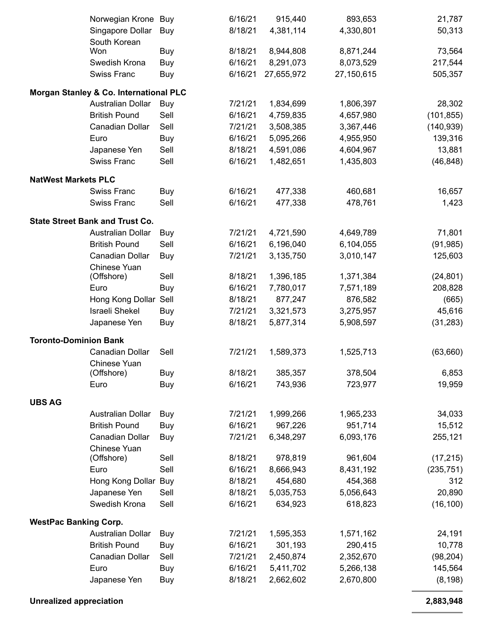|                              | Norwegian Krone                        | Buy        | 6/16/21 | 915,440    | 893,653    | 21,787     |
|------------------------------|----------------------------------------|------------|---------|------------|------------|------------|
|                              | Singapore Dollar                       | Buy        | 8/18/21 | 4,381,114  | 4,330,801  | 50,313     |
|                              | South Korean                           |            |         |            |            |            |
|                              | Won                                    | Buy        | 8/18/21 | 8,944,808  | 8,871,244  | 73,564     |
|                              | Swedish Krona                          | Buy        | 6/16/21 | 8,291,073  | 8,073,529  | 217,544    |
|                              | <b>Swiss Franc</b>                     | Buy        | 6/16/21 | 27,655,972 | 27,150,615 | 505,357    |
|                              | Morgan Stanley & Co. International PLC |            |         |            |            |            |
|                              | <b>Australian Dollar</b>               | Buy        | 7/21/21 | 1,834,699  | 1,806,397  | 28,302     |
|                              | <b>British Pound</b>                   | Sell       | 6/16/21 | 4,759,835  | 4,657,980  | (101, 855) |
|                              | Canadian Dollar                        | Sell       | 7/21/21 | 3,508,385  | 3,367,446  | (140, 939) |
|                              | Euro                                   | Buy        | 6/16/21 | 5,095,266  | 4,955,950  | 139,316    |
|                              | Japanese Yen                           | Sell       | 8/18/21 | 4,591,086  | 4,604,967  | 13,881     |
|                              | <b>Swiss Franc</b>                     | Sell       | 6/16/21 | 1,482,651  | 1,435,803  | (46, 848)  |
|                              |                                        |            |         |            |            |            |
| <b>NatWest Markets PLC</b>   |                                        |            | 6/16/21 |            |            |            |
|                              | <b>Swiss Franc</b>                     | Buy        |         | 477,338    | 460,681    | 16,657     |
|                              | <b>Swiss Franc</b>                     | Sell       | 6/16/21 | 477,338    | 478,761    | 1,423      |
|                              | <b>State Street Bank and Trust Co.</b> |            |         |            |            |            |
|                              | <b>Australian Dollar</b>               | Buy        | 7/21/21 | 4,721,590  | 4,649,789  | 71,801     |
|                              | <b>British Pound</b>                   | Sell       | 6/16/21 | 6,196,040  | 6,104,055  | (91, 985)  |
|                              | Canadian Dollar                        | Buy        | 7/21/21 | 3,135,750  | 3,010,147  | 125,603    |
|                              | Chinese Yuan                           |            |         |            |            |            |
|                              | (Offshore)                             | Sell       | 8/18/21 | 1,396,185  | 1,371,384  | (24, 801)  |
|                              | Euro                                   | Buy        | 6/16/21 | 7,780,017  | 7,571,189  | 208,828    |
|                              | Hong Kong Dollar                       | Sell       | 8/18/21 | 877,247    | 876,582    | (665)      |
|                              | <b>Israeli Shekel</b>                  | Buy        | 7/21/21 | 3,321,573  | 3,275,957  | 45,616     |
|                              | Japanese Yen                           | Buy        | 8/18/21 | 5,877,314  | 5,908,597  | (31, 283)  |
| <b>Toronto-Dominion Bank</b> |                                        |            |         |            |            |            |
|                              | Canadian Dollar                        | Sell       | 7/21/21 | 1,589,373  | 1,525,713  | (63, 660)  |
|                              | Chinese Yuan                           |            |         |            |            |            |
|                              | (Offshore)                             | Buy        | 8/18/21 | 385,357    | 378,504    | 6,853      |
|                              | Euro                                   | Buy        | 6/16/21 | 743,936    | 723,977    | 19,959     |
| <b>UBS AG</b>                |                                        |            |         |            |            |            |
|                              | Australian Dollar                      | Buy        | 7/21/21 | 1,999,266  | 1,965,233  | 34,033     |
|                              | <b>British Pound</b>                   | Buy        | 6/16/21 | 967,226    | 951,714    | 15,512     |
|                              | Canadian Dollar                        | Buy        | 7/21/21 | 6,348,297  | 6,093,176  | 255,121    |
|                              | Chinese Yuan                           |            |         |            |            |            |
|                              | (Offshore)                             | Sell       | 8/18/21 | 978,819    | 961,604    | (17, 215)  |
|                              | Euro                                   | Sell       | 6/16/21 | 8,666,943  | 8,431,192  | (235, 751) |
|                              | Hong Kong Dollar Buy                   |            | 8/18/21 | 454,680    | 454,368    | 312        |
|                              | Japanese Yen                           | Sell       | 8/18/21 | 5,035,753  | 5,056,643  | 20,890     |
|                              | Swedish Krona                          | Sell       | 6/16/21 | 634,923    | 618,823    | (16, 100)  |
| <b>WestPac Banking Corp.</b> |                                        |            |         |            |            |            |
|                              | Australian Dollar                      | Buy        | 7/21/21 | 1,595,353  | 1,571,162  | 24,191     |
|                              | <b>British Pound</b>                   | <b>Buy</b> | 6/16/21 | 301,193    | 290,415    | 10,778     |
|                              | Canadian Dollar                        | Sell       | 7/21/21 | 2,450,874  | 2,352,670  | (98, 204)  |
|                              | Euro                                   | Buy        | 6/16/21 | 5,411,702  | 5,266,138  | 145,564    |
|                              | Japanese Yen                           | Buy        | 8/18/21 | 2,662,602  | 2,670,800  | (8, 198)   |
|                              |                                        |            |         |            |            |            |

**Unrealized appreciation 2,883,948**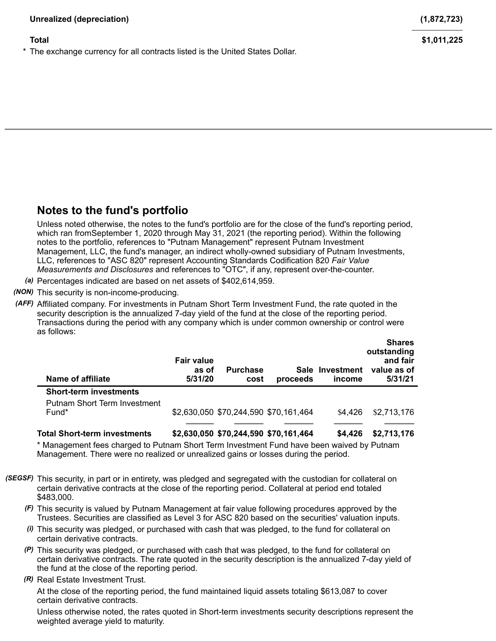The exchange currency for all contracts listed is the United States Dollar.

# **Notes to the fund's portfolio**

Unless noted otherwise, the notes to the fund's portfolio are for the close of the fund's reporting period, which ran fromSeptember 1, 2020 through May 31, 2021 (the reporting period). Within the following notes to the portfolio, references to "Putnam Management" represent Putnam Investment Management, LLC, the fund's manager, an indirect wholly-owned subsidiary of Putnam Investments, LLC, references to "ASC 820" represent Accounting Standards Codification 820 *Fair Value Measurements and Disclosures* and references to "OTC", if any, represent over-the-counter.

*(a)* Percentages indicated are based on net assets of \$402,614,959.

*(NON)* This security is non-income-producing.

*(AFF)* Affiliated company. For investments in Putnam Short Term Investment Fund, the rate quoted in the security description is the annualized 7-day yield of the fund at the close of the reporting period. Transactions during the period with any company which is under common ownership or control were as follows:

| Name of affiliate                   | <b>Fair value</b><br>as of<br>5/31/20 | <b>Purchase</b><br>cost               | proceeds | Sale Investment<br>income | <b>Shares</b><br>outstanding<br>and fair<br>value as of<br>5/31/21 |
|-------------------------------------|---------------------------------------|---------------------------------------|----------|---------------------------|--------------------------------------------------------------------|
| <b>Short-term investments</b>       |                                       |                                       |          |                           |                                                                    |
| <b>Putnam Short Term Investment</b> |                                       |                                       |          |                           |                                                                    |
| Fund <sup>*</sup>                   |                                       | \$2,630,050 \$70,244,590 \$70,161,464 |          | \$4.426                   | \$2,713,176                                                        |
|                                     |                                       |                                       |          |                           |                                                                    |
| <b>Total Short-term investments</b> |                                       | \$2,630,050 \$70,244,590 \$70,161,464 |          | \$4.426                   | \$2,713,176                                                        |

\* Management fees charged to Putnam Short Term Investment Fund have been waived by Putnam Management. There were no realized or unrealized gains or losses during the period.

- *(SEGSF)* This security, in part or in entirety, was pledged and segregated with the custodian for collateral on certain derivative contracts at the close of the reporting period. Collateral at period end totaled \$483,000.
	- *(F)* This security is valued by Putnam Management at fair value following procedures approved by the Trustees. Securities are classified as Level 3 for ASC 820 based on the securities' valuation inputs.
	- *(i)* This security was pledged, or purchased with cash that was pledged, to the fund for collateral on certain derivative contracts.
	- *(P)* This security was pledged, or purchased with cash that was pledged, to the fund for collateral on certain derivative contracts. The rate quoted in the security description is the annualized 7-day yield of the fund at the close of the reporting period.
	- *(R)* Real Estate Investment Trust.

At the close of the reporting period, the fund maintained liquid assets totaling \$613,087 to cover certain derivative contracts.

Unless otherwise noted, the rates quoted in Short-term investments security descriptions represent the weighted average yield to maturity.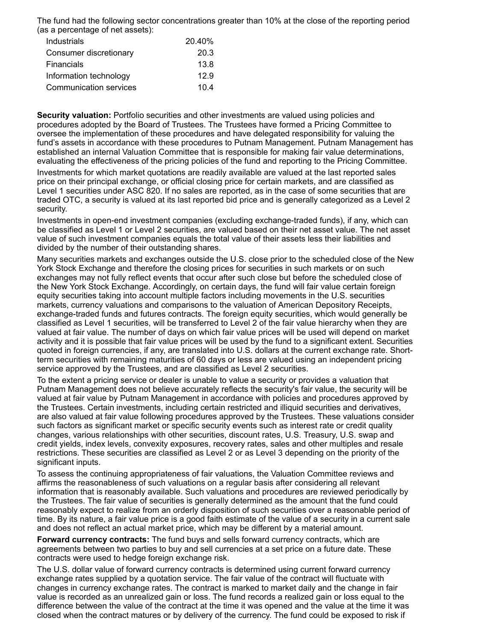The fund had the following sector concentrations greater than 10% at the close of the reporting period (as a percentage of net assets):

| Industrials            | 20.40% |
|------------------------|--------|
| Consumer discretionary | 20.3   |
| Financials             | 13.8   |
| Information technology | 12.9   |
| Communication services | 104    |

**Security valuation:** Portfolio securities and other investments are valued using policies and procedures adopted by the Board of Trustees. The Trustees have formed a Pricing Committee to oversee the implementation of these procedures and have delegated responsibility for valuing the fund's assets in accordance with these procedures to Putnam Management. Putnam Management has established an internal Valuation Committee that is responsible for making fair value determinations, evaluating the effectiveness of the pricing policies of the fund and reporting to the Pricing Committee.

Investments for which market quotations are readily available are valued at the last reported sales price on their principal exchange, or official closing price for certain markets, and are classified as Level 1 securities under ASC 820. If no sales are reported, as in the case of some securities that are traded OTC, a security is valued at its last reported bid price and is generally categorized as a Level 2 security.

Investments in open-end investment companies (excluding exchange-traded funds), if any, which can be classified as Level 1 or Level 2 securities, are valued based on their net asset value. The net asset value of such investment companies equals the total value of their assets less their liabilities and divided by the number of their outstanding shares.

Many securities markets and exchanges outside the U.S. close prior to the scheduled close of the New York Stock Exchange and therefore the closing prices for securities in such markets or on such exchanges may not fully reflect events that occur after such close but before the scheduled close of the New York Stock Exchange. Accordingly, on certain days, the fund will fair value certain foreign equity securities taking into account multiple factors including movements in the U.S. securities markets, currency valuations and comparisons to the valuation of American Depository Receipts, exchange-traded funds and futures contracts. The foreign equity securities, which would generally be classified as Level 1 securities, will be transferred to Level 2 of the fair value hierarchy when they are valued at fair value. The number of days on which fair value prices will be used will depend on market activity and it is possible that fair value prices will be used by the fund to a significant extent. Securities quoted in foreign currencies, if any, are translated into U.S. dollars at the current exchange rate. Shortterm securities with remaining maturities of 60 days or less are valued using an independent pricing service approved by the Trustees, and are classified as Level 2 securities.

To the extent a pricing service or dealer is unable to value a security or provides a valuation that Putnam Management does not believe accurately reflects the security's fair value, the security will be valued at fair value by Putnam Management in accordance with policies and procedures approved by the Trustees. Certain investments, including certain restricted and illiquid securities and derivatives, are also valued at fair value following procedures approved by the Trustees. These valuations consider such factors as significant market or specific security events such as interest rate or credit quality changes, various relationships with other securities, discount rates, U.S. Treasury, U.S. swap and credit yields, index levels, convexity exposures, recovery rates, sales and other multiples and resale restrictions. These securities are classified as Level 2 or as Level 3 depending on the priority of the significant inputs.

To assess the continuing appropriateness of fair valuations, the Valuation Committee reviews and affirms the reasonableness of such valuations on a regular basis after considering all relevant information that is reasonably available. Such valuations and procedures are reviewed periodically by the Trustees. The fair value of securities is generally determined as the amount that the fund could reasonably expect to realize from an orderly disposition of such securities over a reasonable period of time. By its nature, a fair value price is a good faith estimate of the value of a security in a current sale and does not reflect an actual market price, which may be different by a material amount.

**Forward currency contracts:** The fund buys and sells forward currency contracts, which are agreements between two parties to buy and sell currencies at a set price on a future date. These contracts were used to hedge foreign exchange risk.

The U.S. dollar value of forward currency contracts is determined using current forward currency exchange rates supplied by a quotation service. The fair value of the contract will fluctuate with changes in currency exchange rates. The contract is marked to market daily and the change in fair value is recorded as an unrealized gain or loss. The fund records a realized gain or loss equal to the difference between the value of the contract at the time it was opened and the value at the time it was closed when the contract matures or by delivery of the currency. The fund could be exposed to risk if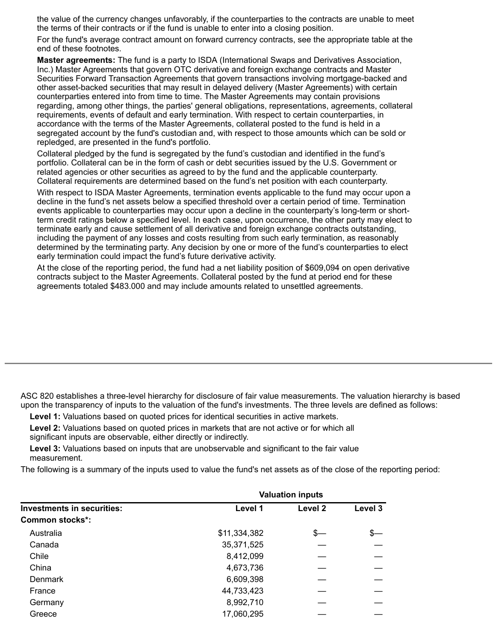the value of the currency changes unfavorably, if the counterparties to the contracts are unable to meet the terms of their contracts or if the fund is unable to enter into a closing position.

For the fund's average contract amount on forward currency contracts, see the appropriate table at the end of these footnotes.

**Master agreements:** The fund is a party to ISDA (International Swaps and Derivatives Association, Inc.) Master Agreements that govern OTC derivative and foreign exchange contracts and Master Securities Forward Transaction Agreements that govern transactions involving mortgage-backed and other asset-backed securities that may result in delayed delivery (Master Agreements) with certain counterparties entered into from time to time. The Master Agreements may contain provisions regarding, among other things, the parties' general obligations, representations, agreements, collateral requirements, events of default and early termination. With respect to certain counterparties, in accordance with the terms of the Master Agreements, collateral posted to the fund is held in a segregated account by the fund's custodian and, with respect to those amounts which can be sold or repledged, are presented in the fund's portfolio.

Collateral pledged by the fund is segregated by the fund's custodian and identified in the fund's portfolio. Collateral can be in the form of cash or debt securities issued by the U.S. Government or related agencies or other securities as agreed to by the fund and the applicable counterparty. Collateral requirements are determined based on the fund's net position with each counterparty.

With respect to ISDA Master Agreements, termination events applicable to the fund may occur upon a decline in the fund's net assets below a specified threshold over a certain period of time. Termination events applicable to counterparties may occur upon a decline in the counterparty's long-term or shortterm credit ratings below a specified level. In each case, upon occurrence, the other party may elect to terminate early and cause settlement of all derivative and foreign exchange contracts outstanding, including the payment of any losses and costs resulting from such early termination, as reasonably determined by the terminating party. Any decision by one or more of the fund's counterparties to elect early termination could impact the fund's future derivative activity.

At the close of the reporting period, the fund had a net liability position of \$609,094 on open derivative contracts subject to the Master Agreements. Collateral posted by the fund at period end for these agreements totaled \$483.000 and may include amounts related to unsettled agreements.

ASC 820 establishes a three-level hierarchy for disclosure of fair value measurements. The valuation hierarchy is based upon the transparency of inputs to the valuation of the fund's investments. The three levels are defined as follows:

**Level 1:** Valuations based on quoted prices for identical securities in active markets.

**Level 2:** Valuations based on quoted prices in markets that are not active or for which all significant inputs are observable, either directly or indirectly.

**Level 3:** Valuations based on inputs that are unobservable and significant to the fair value measurement.

The following is a summary of the inputs used to value the fund's net assets as of the close of the reporting period:

|                                   | <b>Valuation inputs</b> |                    |         |  |
|-----------------------------------|-------------------------|--------------------|---------|--|
| <b>Investments in securities:</b> | Level 1                 | Level <sub>2</sub> | Level 3 |  |
| Common stocks <sup>*</sup> :      |                         |                    |         |  |
| Australia                         | \$11,334,382            | s—                 | Œ.      |  |
| Canada                            | 35,371,525              |                    |         |  |
| Chile                             | 8,412,099               |                    |         |  |
| China                             | 4,673,736               |                    |         |  |
| <b>Denmark</b>                    | 6,609,398               |                    |         |  |
| France                            | 44,733,423              |                    |         |  |
| Germany                           | 8,992,710               |                    |         |  |
| Greece                            | 17,060,295              |                    |         |  |